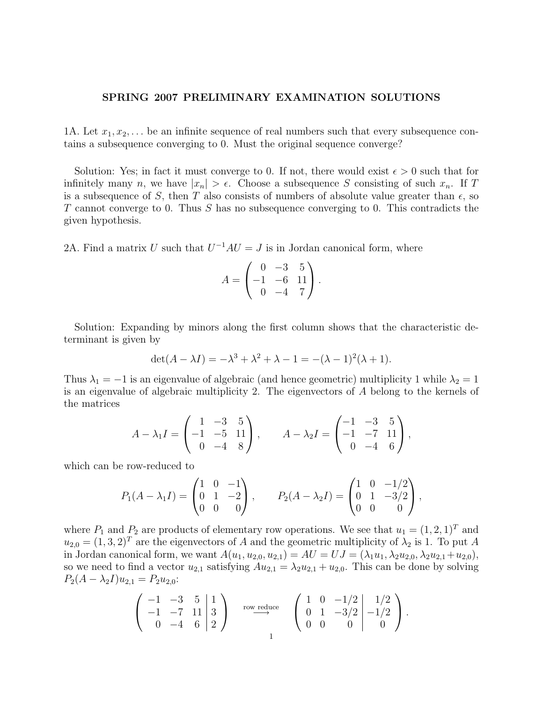## SPRING 2007 PRELIMINARY EXAMINATION SOLUTIONS

1A. Let  $x_1, x_2, \ldots$  be an infinite sequence of real numbers such that every subsequence contains a subsequence converging to 0. Must the original sequence converge?

Solution: Yes; in fact it must converge to 0. If not, there would exist  $\epsilon > 0$  such that for infinitely many n, we have  $|x_n| > \epsilon$ . Choose a subsequence S consisting of such  $x_n$ . If T is a subsequence of S, then T also consists of numbers of absolute value greater than  $\epsilon$ , so  $T$  cannot converge to 0. Thus  $S$  has no subsequence converging to 0. This contradicts the given hypothesis.

2A. Find a matrix U such that  $U^{-1}AU = J$  is in Jordan canonical form, where

$$
A = \begin{pmatrix} 0 & -3 & 5 \\ -1 & -6 & 11 \\ 0 & -4 & 7 \end{pmatrix}.
$$

Solution: Expanding by minors along the first column shows that the characteristic determinant is given by

$$
\det(A - \lambda I) = -\lambda^3 + \lambda^2 + \lambda - 1 = -(\lambda - 1)^2(\lambda + 1).
$$

Thus  $\lambda_1 = -1$  is an eigenvalue of algebraic (and hence geometric) multiplicity 1 while  $\lambda_2 = 1$ is an eigenvalue of algebraic multiplicity 2. The eigenvectors of A belong to the kernels of the matrices

$$
A - \lambda_1 I = \begin{pmatrix} 1 & -3 & 5 \\ -1 & -5 & 11 \\ 0 & -4 & 8 \end{pmatrix}, \qquad A - \lambda_2 I = \begin{pmatrix} -1 & -3 & 5 \\ -1 & -7 & 11 \\ 0 & -4 & 6 \end{pmatrix},
$$

which can be row-reduced to

$$
P_1(A - \lambda_1 I) = \begin{pmatrix} 1 & 0 & -1 \\ 0 & 1 & -2 \\ 0 & 0 & 0 \end{pmatrix}, \qquad P_2(A - \lambda_2 I) = \begin{pmatrix} 1 & 0 & -1/2 \\ 0 & 1 & -3/2 \\ 0 & 0 & 0 \end{pmatrix},
$$

where  $P_1$  and  $P_2$  are products of elementary row operations. We see that  $u_1 = (1, 2, 1)^T$  and  $u_{2,0} = (1, 3, 2)^T$  are the eigenvectors of A and the geometric multiplicity of  $\lambda_2$  is 1. To put A in Jordan canonical form, we want  $A(u_1, u_{2,0}, u_{2,1}) = AU = UJ = (\lambda_1 u_1, \lambda_2 u_{2,0}, \lambda_2 u_{2,1} + u_{2,0}),$ so we need to find a vector  $u_{2,1}$  satisfying  $Au_{2,1} = \lambda_2 u_{2,1} + u_{2,0}$ . This can be done by solving  $P_2(A - \lambda_2 I)u_{2,1} = P_2 u_{2,0}$ :

$$
\left(\begin{array}{ccc|c} -1 & -3 & 5 & 1 \\ -1 & -7 & 11 & 3 \\ 0 & -4 & 6 & 2 \end{array}\right) \xrightarrow{\text{row reduce}} \left(\begin{array}{ccc|c} 1 & 0 & -1/2 & 1/2 \\ 0 & 1 & -3/2 & -1/2 \\ 0 & 0 & 0 & 0 \end{array}\right).
$$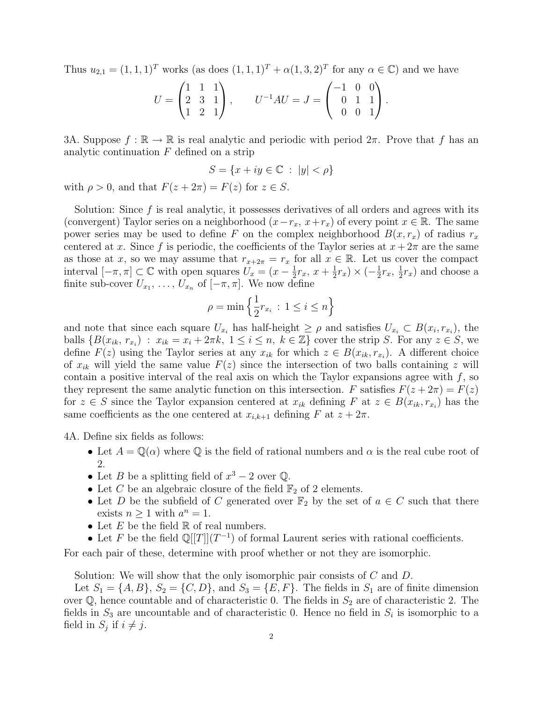Thus  $u_{2,1} = (1, 1, 1)^T$  works (as does  $(1, 1, 1)^T + \alpha(1, 3, 2)^T$  for any  $\alpha \in \mathbb{C}$ ) and we have

$$
U = \begin{pmatrix} 1 & 1 & 1 \\ 2 & 3 & 1 \\ 1 & 2 & 1 \end{pmatrix}, \qquad U^{-1}AU = J = \begin{pmatrix} -1 & 0 & 0 \\ 0 & 1 & 1 \\ 0 & 0 & 1 \end{pmatrix}.
$$

3A. Suppose  $f : \mathbb{R} \to \mathbb{R}$  is real analytic and periodic with period  $2\pi$ . Prove that f has an analytic continuation  $F$  defined on a strip

$$
S = \{x + iy \in \mathbb{C} : |y| < \rho\}
$$

with  $\rho > 0$ , and that  $F(z + 2\pi) = F(z)$  for  $z \in S$ .

Solution: Since  $f$  is real analytic, it possesses derivatives of all orders and agrees with its (convergent) Taylor series on a neighborhood  $(x-r_x, x+r_x)$  of every point  $x \in \mathbb{R}$ . The same power series may be used to define F on the complex neighborhood  $B(x, r_x)$  of radius  $r_x$ centered at x. Since f is periodic, the coefficients of the Taylor series at  $x + 2\pi$  are the same as those at x, so we may assume that  $r_{x+2\pi} = r_x$  for all  $x \in \mathbb{R}$ . Let us cover the compact interval  $[-\pi, \pi] \subset \mathbb{C}$  with open squares  $U_x = (x - \frac{1}{2})$  $\frac{1}{2}r_x, x + \frac{1}{2}$  $(\frac{1}{2}r_x) \times (-\frac{1}{2}$  $\frac{1}{2}r_{x}, \frac{1}{2}$  $\frac{1}{2}r_x$ ) and choose a finite sub-cover  $U_{x_1}, \ldots, U_{x_n}$  of  $[-\pi, \pi]$ . We now define

$$
\rho = \min\left\{\frac{1}{2}r_{x_i} \, : \, 1 \le i \le n\right\}
$$

and note that since each square  $U_{x_i}$  has half-height  $\geq \rho$  and satisfies  $U_{x_i} \subset B(x_i, r_{x_i})$ , the balls  $\{B(x_{ik}, r_{x_i}) : x_{ik} = x_i + 2\pi k, 1 \leq i \leq n, k \in \mathbb{Z}\}\)$  cover the strip S. For any  $z \in S$ , we define  $F(z)$  using the Taylor series at any  $x_{ik}$  for which  $z \in B(x_{ik}, r_{x_i})$ . A different choice of  $x_{ik}$  will yield the same value  $F(z)$  since the intersection of two balls containing z will contain a positive interval of the real axis on which the Taylor expansions agree with  $f$ , so they represent the same analytic function on this intersection. F satisfies  $F(z+2\pi) = F(z)$ for  $z \in S$  since the Taylor expansion centered at  $x_{ik}$  defining F at  $z \in B(x_{ik}, r_{x_i})$  has the same coefficients as the one centered at  $x_{i,k+1}$  defining F at  $z + 2\pi$ .

4A. Define six fields as follows:

- Let  $A = \mathbb{Q}(\alpha)$  where  $\mathbb Q$  is the field of rational numbers and  $\alpha$  is the real cube root of 2.
- Let *B* be a splitting field of  $x^3 2$  over  $\mathbb{Q}$ .
- Let C be an algebraic closure of the field  $\mathbb{F}_2$  of 2 elements.
- Let D be the subfield of C generated over  $\mathbb{F}_2$  by the set of  $a \in C$  such that there exists  $n \geq 1$  with  $a^n = 1$ .
- Let  $E$  be the field  $\mathbb R$  of real numbers.
- Let F be the field  $\mathbb{Q}[[T]](T^{-1})$  of formal Laurent series with rational coefficients.

For each pair of these, determine with proof whether or not they are isomorphic.

Solution: We will show that the only isomorphic pair consists of C and D.

Let  $S_1 = \{A, B\}$ ,  $S_2 = \{C, D\}$ , and  $S_3 = \{E, F\}$ . The fields in  $S_1$  are of finite dimension over  $\mathbb{Q}$ , hence countable and of characteristic 0. The fields in  $S_2$  are of characteristic 2. The fields in  $S_3$  are uncountable and of characteristic 0. Hence no field in  $S_i$  is isomorphic to a field in  $S_j$  if  $i \neq j$ .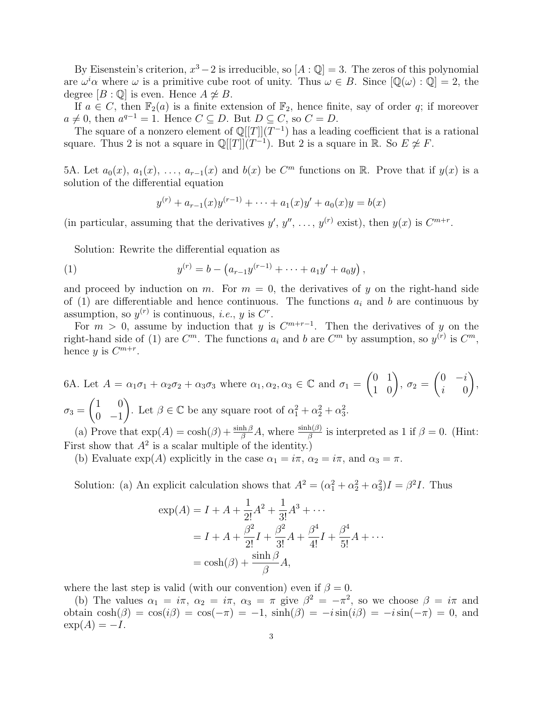By Eisenstein's criterion,  $x^3 - 2$  is irreducible, so  $[A : \mathbb{Q}] = 3$ . The zeros of this polynomial are  $\omega^i\alpha$  where  $\omega$  is a primitive cube root of unity. Thus  $\omega \in B$ . Since  $[\mathbb{Q}(\omega):\mathbb{Q}] = 2$ , the degree  $[B: \mathbb{Q}]$  is even. Hence  $A \not\cong B$ .

If  $a \in C$ , then  $\mathbb{F}_2(a)$  is a finite extension of  $\mathbb{F}_2$ , hence finite, say of order q; if moreover  $a \neq 0$ , then  $a^{q-1} = 1$ . Hence  $C \subseteq D$ . But  $D \subseteq C$ , so  $C = D$ .

The square of a nonzero element of  $\mathbb{Q}[[T]](T^{-1})$  has a leading coefficient that is a rational square. Thus 2 is not a square in  $\mathbb{Q}[[T]](T^{-1})$ . But 2 is a square in R. So  $E \not\cong F$ .

5A. Let  $a_0(x)$ ,  $a_1(x)$ , ...,  $a_{r-1}(x)$  and  $b(x)$  be  $C^m$  functions on R. Prove that if  $y(x)$  is a solution of the differential equation

$$
y^{(r)} + a_{r-1}(x)y^{(r-1)} + \dots + a_1(x)y' + a_0(x)y = b(x)
$$

(in particular, assuming that the derivatives  $y', y'', \ldots, y^{(r)}$  exist), then  $y(x)$  is  $C^{m+r}$ .

Solution: Rewrite the differential equation as

(1) 
$$
y^{(r)} = b - (a_{r-1}y^{(r-1)} + \cdots + a_1y' + a_0y),
$$

and proceed by induction on m. For  $m = 0$ , the derivatives of y on the right-hand side of (1) are differentiable and hence continuous. The functions  $a_i$  and b are continuous by assumption, so  $y^{(r)}$  is continuous, *i.e.*, *y* is  $C^r$ .

For  $m > 0$ , assume by induction that y is  $C^{m+r-1}$ . Then the derivatives of y on the right-hand side of (1) are  $C^m$ . The functions  $a_i$  and b are  $C^m$  by assumption, so  $y^{(r)}$  is  $C^m$ , hence y is  $C^{m+r}$ .

6A. Let 
$$
A = \alpha_1 \sigma_1 + \alpha_2 \sigma_2 + \alpha_3 \sigma_3
$$
 where  $\alpha_1, \alpha_2, \alpha_3 \in \mathbb{C}$  and  $\sigma_1 = \begin{pmatrix} 0 & 1 \\ 1 & 0 \end{pmatrix}$ ,  $\sigma_2 = \begin{pmatrix} 0 & -i \\ i & 0 \end{pmatrix}$ ,  $\sigma_3 = \begin{pmatrix} 1 & 0 \\ 0 & -1 \end{pmatrix}$ . Let  $\beta \in \mathbb{C}$  be any square root of  $\alpha_1^2 + \alpha_2^2 + \alpha_3^2$ .

(a) Prove that  $\exp(A) = \cosh(\beta) + \frac{\sinh(\beta)}{\beta} A$ , where  $\frac{\sinh(\beta)}{\beta}$  is interpreted as 1 if  $\beta = 0$ . (Hint: First show that  $A^2$  is a scalar multiple of the identity.)

(b) Evaluate  $\exp(A)$  explicitly in the case  $\alpha_1 = i\pi$ ,  $\alpha_2 = i\pi$ , and  $\alpha_3 = \pi$ .

Solution: (a) An explicit calculation shows that  $A^2 = (\alpha_1^2 + \alpha_2^2 + \alpha_3^2)I = \beta^2 I$ . Thus

$$
\exp(A) = I + A + \frac{1}{2!}A^2 + \frac{1}{3!}A^3 + \cdots
$$
  
=  $I + A + \frac{\beta^2}{2!}I + \frac{\beta^2}{3!}A + \frac{\beta^4}{4!}I + \frac{\beta^4}{5!}A + \cdots$   
=  $\cosh(\beta) + \frac{\sinh \beta}{\beta}A$ ,

where the last step is valid (with our convention) even if  $\beta = 0$ .

(b) The values  $\alpha_1 = i\pi$ ,  $\alpha_2 = i\pi$ ,  $\alpha_3 = \pi$  give  $\beta^2 = -\pi^2$ , so we choose  $\beta = i\pi$  and obtain  $\cosh(\beta) = \cos(i\beta) = \cos(-\pi) = -1$ ,  $\sinh(\beta) = -i\sin(i\beta) = -i\sin(-\pi) = 0$ , and  $\exp(A) = -I$ .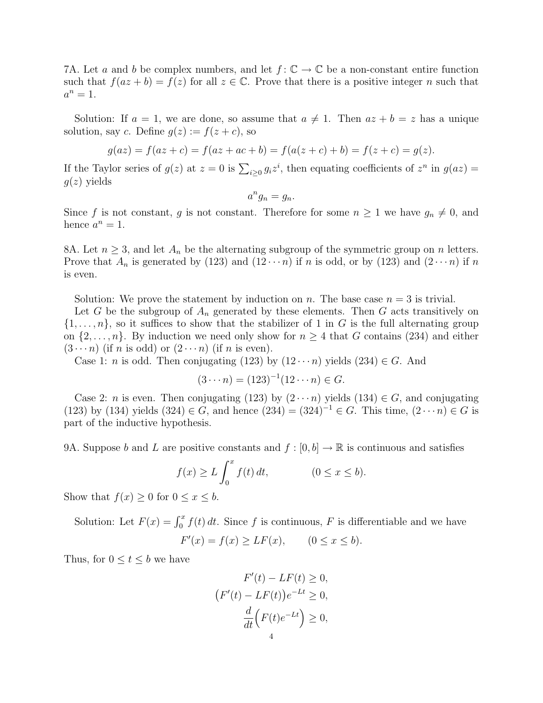7A. Let a and b be complex numbers, and let  $f: \mathbb{C} \to \mathbb{C}$  be a non-constant entire function such that  $f(az + b) = f(z)$  for all  $z \in \mathbb{C}$ . Prove that there is a positive integer n such that  $a^n=1$ .

Solution: If  $a = 1$ , we are done, so assume that  $a \neq 1$ . Then  $az + b = z$  has a unique solution, say c. Define  $g(z) := f(z + c)$ , so

$$
g(az) = f(az + c) = f(az + ac + b) = f(a(z + c) + b) = f(z + c) = g(z).
$$

If the Taylor series of  $g(z)$  at  $z = 0$  is  $\sum_{i \geq 0} g_i z^i$ , then equating coefficients of  $z^n$  in  $g(az) =$  $q(z)$  yields

$$
a^n g_n = g_n.
$$

Since f is not constant, g is not constant. Therefore for some  $n \geq 1$  we have  $g_n \neq 0$ , and hence  $a^n = 1$ .

8A. Let  $n \geq 3$ , and let  $A_n$  be the alternating subgroup of the symmetric group on n letters. Prove that  $A_n$  is generated by (123) and (12 $\cdots$ n) if n is odd, or by (123) and (2 $\cdots$ n) if n is even.

Solution: We prove the statement by induction on n. The base case  $n = 3$  is trivial.

Let G be the subgroup of  $A_n$  generated by these elements. Then G acts transitively on  $\{1,\ldots,n\}$ , so it suffices to show that the stabilizer of 1 in G is the full alternating group on  $\{2,\ldots,n\}$ . By induction we need only show for  $n \geq 4$  that G contains (234) and either  $(3 \cdots n)$  (if n is odd) or  $(2 \cdots n)$  (if n is even).

Case 1: *n* is odd. Then conjugating (123) by  $(12 \cdots n)$  yields  $(234) \in G$ . And

$$
(3 \cdots n) = (123)^{-1} (12 \cdots n) \in G.
$$

Case 2: *n* is even. Then conjugating (123) by  $(2 \cdots n)$  yields (134)  $\in G$ , and conjugating (123) by (134) yields (324) ∈ G, and hence  $(234) = (324)^{-1} \in G$ . This time,  $(2 \cdots n) \in G$  is part of the inductive hypothesis.

9A. Suppose b and L are positive constants and  $f : [0, b] \to \mathbb{R}$  is continuous and satisfies

$$
f(x) \ge L \int_0^x f(t) dt, \qquad (0 \le x \le b).
$$

Show that  $f(x) \geq 0$  for  $0 \leq x \leq b$ .

Solution: Let  $F(x) = \int_0^x f(t) dt$ . Since f is continuous, F is differentiable and we have

 $F'(x) = f(x) \ge LF(x), \qquad (0 \le x \le b).$ 

Thus, for  $0 \le t \le b$  we have

$$
F'(t) - LF(t) \ge 0,
$$
  
\n
$$
(F'(t) - LF(t))e^{-Lt} \ge 0,
$$
  
\n
$$
\frac{d}{dt}(F(t)e^{-Lt}) \ge 0,
$$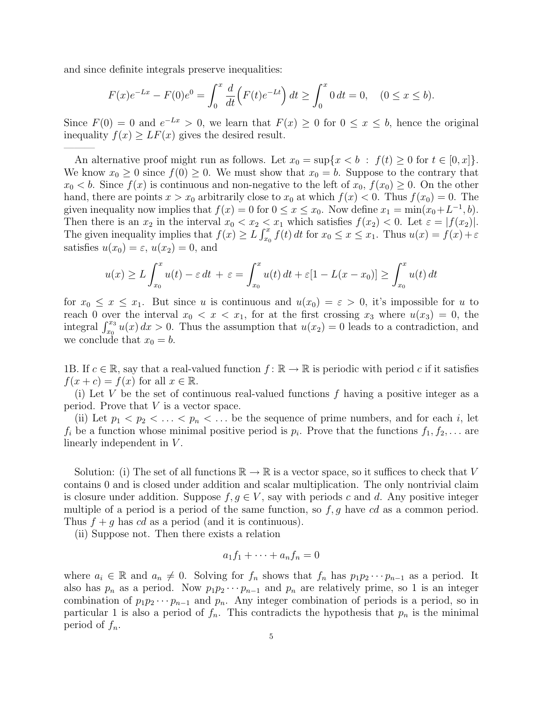and since definite integrals preserve inequalities:

———

$$
F(x)e^{-Lx} - F(0)e^{0} = \int_0^x \frac{d}{dt} \left( F(t)e^{-Lt} \right) dt \ge \int_0^x 0 dt = 0, \quad (0 \le x \le b).
$$

Since  $F(0) = 0$  and  $e^{-Lx} > 0$ , we learn that  $F(x) \ge 0$  for  $0 \le x \le b$ , hence the original inequality  $f(x) \ge LF(x)$  gives the desired result.

An alternative proof might run as follows. Let  $x_0 = \sup\{x < b : f(t) \ge 0 \text{ for } t \in [0, x]\}.$ We know  $x_0 \geq 0$  since  $f(0) \geq 0$ . We must show that  $x_0 = b$ . Suppose to the contrary that  $x_0 < b$ . Since  $f(x)$  is continuous and non-negative to the left of  $x_0, f(x_0) \geq 0$ . On the other hand, there are points  $x > x_0$  arbitrarily close to  $x_0$  at which  $f(x) < 0$ . Thus  $f(x_0) = 0$ . The given inequality now implies that  $f(x) = 0$  for  $0 \le x \le x_0$ . Now define  $x_1 = \min(x_0 + L^{-1}, b)$ . Then there is an  $x_2$  in the interval  $x_0 < x_2 < x_1$  which satisfies  $f(x_2) < 0$ . Let  $\varepsilon = |f(x_2)|$ . The given inequality implies that  $f(x) \ge L \int_{x_0}^x f(t) dt$  for  $x_0 \le x \le x_1$ . Thus  $u(x) = f(x) + \varepsilon$ satisfies  $u(x_0) = \varepsilon$ ,  $u(x_2) = 0$ , and

$$
u(x) \ge L \int_{x_0}^x u(t) - \varepsilon dt + \varepsilon = \int_{x_0}^x u(t) dt + \varepsilon [1 - L(x - x_0)] \ge \int_{x_0}^x u(t) dt
$$

for  $x_0 \le x \le x_1$ . But since u is continuous and  $u(x_0) = \varepsilon > 0$ , it's impossible for u to reach 0 over the interval  $x_0 < x < x_1$ , for at the first crossing  $x_3$  where  $u(x_3) = 0$ , the integral  $\int_{x_0}^{x_3} u(x) dx > 0$ . Thus the assumption that  $u(x_2) = 0$  leads to a contradiction, and we conclude that  $x_0 = b$ .

1B. If  $c \in \mathbb{R}$ , say that a real-valued function  $f: \mathbb{R} \to \mathbb{R}$  is periodic with period c if it satisfies  $f(x + c) = f(x)$  for all  $x \in \mathbb{R}$ .

(i) Let V be the set of continuous real-valued functions  $f$  having a positive integer as a period. Prove that  $V$  is a vector space.

(ii) Let  $p_1 < p_2 < \ldots < p_n < \ldots$  be the sequence of prime numbers, and for each i, let  $f_i$  be a function whose minimal positive period is  $p_i$ . Prove that the functions  $f_1, f_2, \ldots$  are linearly independent in  $V$ .

Solution: (i) The set of all functions  $\mathbb{R} \to \mathbb{R}$  is a vector space, so it suffices to check that V contains 0 and is closed under addition and scalar multiplication. The only nontrivial claim is closure under addition. Suppose  $f, g \in V$ , say with periods c and d. Any positive integer multiple of a period is a period of the same function, so  $f, g$  have cd as a common period. Thus  $f + g$  has cd as a period (and it is continuous).

(ii) Suppose not. Then there exists a relation

$$
a_1f_1 + \cdots + a_nf_n = 0
$$

where  $a_i \in \mathbb{R}$  and  $a_n \neq 0$ . Solving for  $f_n$  shows that  $f_n$  has  $p_1p_2\cdots p_{n-1}$  as a period. It also has  $p_n$  as a period. Now  $p_1p_2\cdots p_{n-1}$  and  $p_n$  are relatively prime, so 1 is an integer combination of  $p_1p_2\cdots p_{n-1}$  and  $p_n$ . Any integer combination of periods is a period, so in particular 1 is also a period of  $f_n$ . This contradicts the hypothesis that  $p_n$  is the minimal period of  $f_n$ .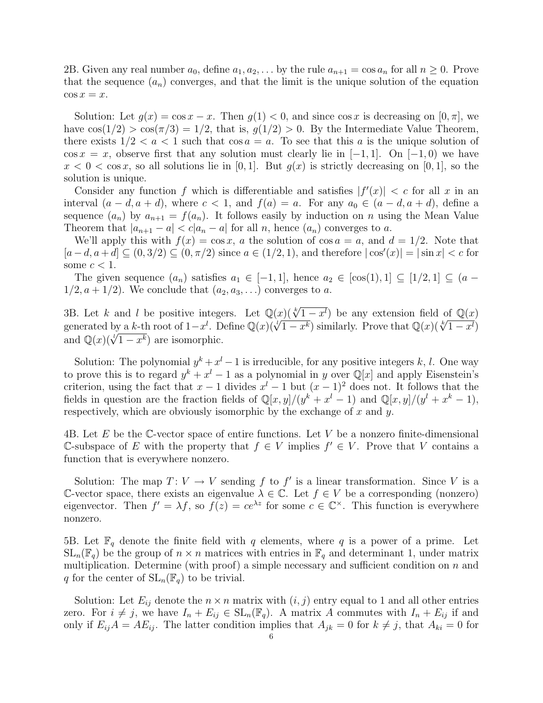2B. Given any real number  $a_0$ , define  $a_1, a_2, \ldots$  by the rule  $a_{n+1} = \cos a_n$  for all  $n \geq 0$ . Prove that the sequence  $(a_n)$  converges, and that the limit is the unique solution of the equation  $\cos x = x$ .

Solution: Let  $g(x) = \cos x - x$ . Then  $g(1) < 0$ , and since  $\cos x$  is decreasing on  $[0, \pi]$ , we have  $\cos(1/2) > \cos(\pi/3) = 1/2$ , that is,  $g(1/2) > 0$ . By the Intermediate Value Theorem, there exists  $1/2 < a < 1$  such that  $\cos a = a$ . To see that this a is the unique solution of  $\cos x = x$ , observe first that any solution must clearly lie in [−1, 1]. On [−1, 0) we have  $x < 0 < \cos x$ , so all solutions lie in [0, 1]. But  $q(x)$  is strictly decreasing on [0, 1], so the solution is unique.

Consider any function f which is differentiable and satisfies  $|f'(x)| < c$  for all x in an interval  $(a-d, a+d)$ , where  $c < 1$ , and  $f(a) = a$ . For any  $a_0 \in (a-d, a+d)$ , define a sequence  $(a_n)$  by  $a_{n+1} = f(a_n)$ . It follows easily by induction on n using the Mean Value Theorem that  $|a_{n+1} - a| < c |a_n - a|$  for all n, hence  $(a_n)$  converges to a.

We'll apply this with  $f(x) = \cos x$ , a the solution of  $\cos a = a$ , and  $d = 1/2$ . Note that  $[a-d, a+d] \subseteq (0, 3/2) \subseteq (0, \pi/2)$  since  $a \in (1/2, 1)$ , and therefore  $|\cos'(x)| = |\sin x| < c$  for some  $c < 1$ .

The given sequence  $(a_n)$  satisfies  $a_1 \in [-1,1]$ , hence  $a_2 \in [\cos(1),1] \subseteq [1/2,1] \subseteq (a 1/2, a + 1/2$ . We conclude that  $(a_2, a_3, \ldots)$  converges to a.

3B. Let k and l be positive integers. Let  $\mathbb{Q}(x)$  $(\sqrt[k]{1-x^l})$  be any extension field of  $\mathbb{Q}(x)$ 3B. Let k and l be positive integers. Let  $\mathbb{Q}(x)(\sqrt{1-x^k})$  be any extension field of  $\mathbb{Q}(x)$ <br>generated by a k-th root of  $1-x^l$ . Define  $\mathbb{Q}(x)(\sqrt[l]{1-x^k})$  similarly. Prove that  $\mathbb{Q}(x)(\sqrt[k]{1-x^l})$ generated by a *k*-th root of  $1-x$ . D<br>and  $\mathbb{Q}(x)(\sqrt[t]{1-x^k})$  are isomorphic.

Solution: The polynomial  $y^k + x^l - 1$  is irreducible, for any positive integers k, l. One way to prove this is to regard  $y^k + x^l - 1$  as a polynomial in y over  $\mathbb{Q}[x]$  and apply Eisenstein's criterion, using the fact that  $x - 1$  divides  $x<sup>l</sup> - 1$  but  $(x - 1)<sup>2</sup>$  does not. It follows that the fields in question are the fraction fields of  $\mathbb{Q}[x,y]/(y^k + x^l - 1)$  and  $\mathbb{Q}[x,y]/(y^l + x^k - 1)$ , respectively, which are obviously isomorphic by the exchange of  $x$  and  $y$ .

4B. Let E be the C-vector space of entire functions. Let V be a nonzero finite-dimensional C-subspace of E with the property that  $f$  ∈ V implies  $f'$  ∈ V. Prove that V contains a function that is everywhere nonzero.

Solution: The map  $T: V \to V$  sending f to f' is a linear transformation. Since V is a C-vector space, there exists an eigenvalue  $\lambda \in \mathbb{C}$ . Let  $f \in V$  be a corresponding (nonzero) eigenvector. Then  $f' = \lambda f$ , so  $f(z) = ce^{\lambda z}$  for some  $c \in \mathbb{C}^{\times}$ . This function is everywhere nonzero.

5B. Let  $\mathbb{F}_q$  denote the finite field with q elements, where q is a power of a prime. Let  $SL_n(\mathbb{F}_q)$  be the group of  $n \times n$  matrices with entries in  $\mathbb{F}_q$  and determinant 1, under matrix multiplication. Determine (with proof) a simple necessary and sufficient condition on  $n$  and q for the center of  $SL_n(\mathbb{F}_q)$  to be trivial.

Solution: Let  $E_{ij}$  denote the  $n \times n$  matrix with  $(i, j)$  entry equal to 1 and all other entries zero. For  $i \neq j$ , we have  $I_n + E_{ij} \in SL_n(\mathbb{F}_q)$ . A matrix A commutes with  $I_n + E_{ij}$  if and only if  $E_{ij}A = AE_{ij}$ . The latter condition implies that  $A_{jk} = 0$  for  $k \neq j$ , that  $A_{ki} = 0$  for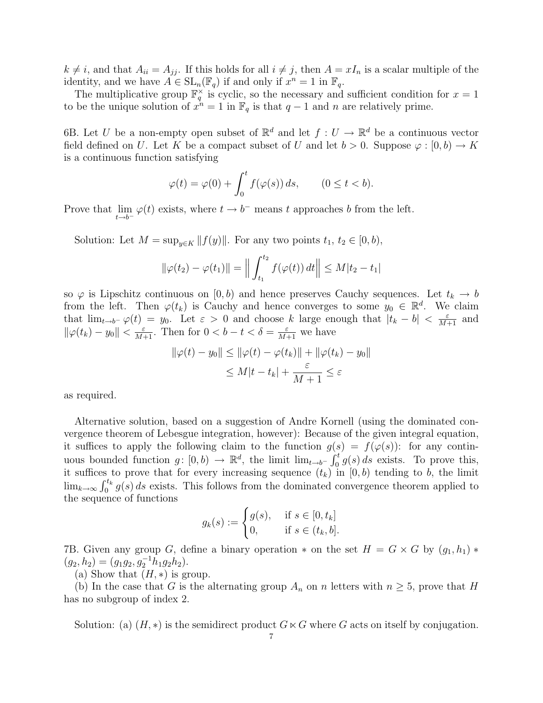$k \neq i$ , and that  $A_{ii} = A_{jj}$ . If this holds for all  $i \neq j$ , then  $A = xI_n$  is a scalar multiple of the identity, and we have  $A \in SL_n(\mathbb{F}_q)$  if and only if  $x^n = 1$  in  $\mathbb{F}_q$ .

The multiplicative group  $\mathbb{F}_q^{\times}$  is cyclic, so the necessary and sufficient condition for  $x=1$ to be the unique solution of  $x^n = 1$  in  $\mathbb{F}_q$  is that  $q-1$  and n are relatively prime.

6B. Let U be a non-empty open subset of  $\mathbb{R}^d$  and let  $f: U \to \mathbb{R}^d$  be a continuous vector field defined on U. Let K be a compact subset of U and let  $b > 0$ . Suppose  $\varphi : [0, b) \to K$ is a continuous function satisfying

$$
\varphi(t) = \varphi(0) + \int_0^t f(\varphi(s)) ds, \qquad (0 \le t < b).
$$

Prove that  $\lim_{t \to b^-} \varphi(t)$  exists, where  $t \to b^-$  means t approaches b from the left.

Solution: Let  $M = \sup_{y \in K} ||f(y)||$ . For any two points  $t_1, t_2 \in [0, b)$ ,

$$
\|\varphi(t_2) - \varphi(t_1)\| = \left\| \int_{t_1}^{t_2} f(\varphi(t)) \, dt \right\| \le M|t_2 - t_1|
$$

so  $\varphi$  is Lipschitz continuous on [0, b) and hence preserves Cauchy sequences. Let  $t_k \to b$ from the left. Then  $\varphi(t_k)$  is Cauchy and hence converges to some  $y_0 \in \mathbb{R}^d$ . We claim that  $\lim_{t\to b^-} \varphi(t) = y_0$ . Let  $\varepsilon > 0$  and choose k large enough that  $|t_k - b| < \frac{\varepsilon}{M+1}$  and  $\|\varphi(t_k) - y_0\| < \frac{\varepsilon}{M+1}$ . Then for  $0 < b - t < \delta = \frac{\varepsilon}{M+1}$  we have

$$
\|\varphi(t) - y_0\| \le \|\varphi(t) - \varphi(t_k)\| + \|\varphi(t_k) - y_0\|
$$
  

$$
\le M|t - t_k| + \frac{\varepsilon}{M+1} \le \varepsilon
$$

as required.

Alternative solution, based on a suggestion of Andre Kornell (using the dominated convergence theorem of Lebesgue integration, however): Because of the given integral equation, it suffices to apply the following claim to the function  $g(s) = f(\varphi(s))$ : for any continuous bounded function  $g: [0, b) \to \mathbb{R}^d$ , the limit  $\lim_{t \to b^-} \int_0^t g(s) ds$  exists. To prove this, it suffices to prove that for every increasing sequence  $(t_k)$  in  $[0, b)$  tending to b, the limit  $\lim_{k\to\infty} \int_0^{t_k} g(s) ds$  exists. This follows from the dominated convergence theorem applied to the sequence of functions

$$
g_k(s) := \begin{cases} g(s), & \text{if } s \in [0, t_k] \\ 0, & \text{if } s \in (t_k, b]. \end{cases}
$$

7B. Given any group G, define a binary operation  $*$  on the set  $H = G \times G$  by  $(g_1, h_1) *$  $(g_2, h_2) = (g_1g_2, g_2^{-1}h_1g_2h_2).$ 

(a) Show that  $(H, *)$  is group.

(b) In the case that G is the alternating group  $A_n$  on n letters with  $n \geq 5$ , prove that H has no subgroup of index 2.

Solution: (a)  $(H, *)$  is the semidirect product  $G \ltimes G$  where G acts on itself by conjugation.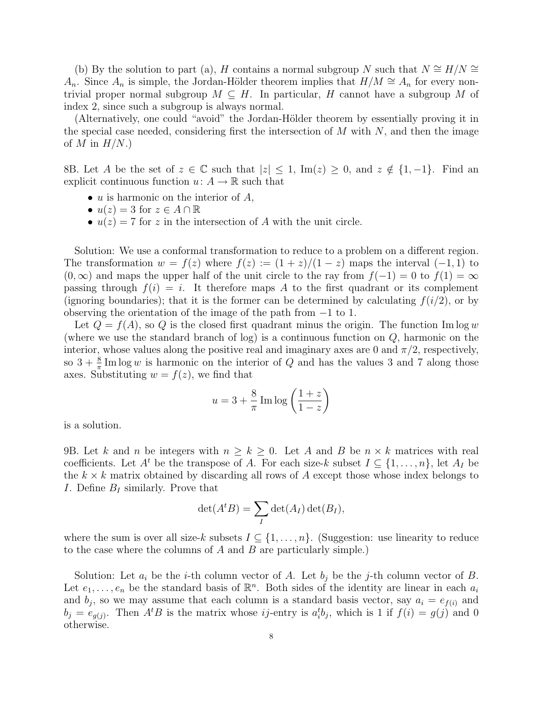(b) By the solution to part (a), H contains a normal subgroup N such that  $N \cong H/N \cong$  $A_n$ . Since  $A_n$  is simple, the Jordan-Hölder theorem implies that  $H/M \cong A_n$  for every nontrivial proper normal subgroup  $M \subseteq H$ . In particular, H cannot have a subgroup M of index 2, since such a subgroup is always normal.

(Alternatively, one could "avoid" the Jordan-Hölder theorem by essentially proving it in the special case needed, considering first the intersection of  $M$  with  $N$ , and then the image of M in  $H/N$ .)

8B. Let A be the set of  $z \in \mathbb{C}$  such that  $|z| \leq 1$ , Im $(z) \geq 0$ , and  $z \notin \{1, -1\}$ . Find an explicit continuous function  $u: A \to \mathbb{R}$  such that

- $u$  is harmonic on the interior of  $A$ ,
- $u(z) = 3$  for  $z \in A \cap \mathbb{R}$
- $u(z) = 7$  for z in the intersection of A with the unit circle.

Solution: We use a conformal transformation to reduce to a problem on a different region. The transformation  $w = f(z)$  where  $f(z) := (1 + z)/(1 - z)$  maps the interval  $(-1, 1)$  to  $(0,\infty)$  and maps the upper half of the unit circle to the ray from  $f(-1) = 0$  to  $f(1) = \infty$ passing through  $f(i) = i$ . It therefore maps A to the first quadrant or its complement (ignoring boundaries); that it is the former can be determined by calculating  $f(i/2)$ , or by observing the orientation of the image of the path from −1 to 1.

Let  $Q = f(A)$ , so Q is the closed first quadrant minus the origin. The function Im log w (where we use the standard branch of log) is a continuous function on Q, harmonic on the interior, whose values along the positive real and imaginary axes are 0 and  $\pi/2$ , respectively, so  $3 + \frac{8}{\pi}$  Im log w is harmonic on the interior of Q and has the values 3 and 7 along those axes. Substituting  $w = f(z)$ , we find that

$$
u = 3 + \frac{8}{\pi} \operatorname{Im} \log \left( \frac{1+z}{1-z} \right)
$$

is a solution.

9B. Let k and n be integers with  $n \geq k \geq 0$ . Let A and B be  $n \times k$  matrices with real coefficients. Let  $A^t$  be the transpose of A. For each size-k subset  $I \subseteq \{1, \ldots, n\}$ , let  $A_I$  be the  $k \times k$  matrix obtained by discarding all rows of A except those whose index belongs to I. Define  $B_I$  similarly. Prove that

$$
\det(A^t B) = \sum_I \det(A_I) \det(B_I),
$$

where the sum is over all size-k subsets  $I \subseteq \{1, \ldots, n\}$ . (Suggestion: use linearity to reduce to the case where the columns of A and B are particularly simple.)

Solution: Let  $a_i$  be the *i*-th column vector of A. Let  $b_i$  be the *j*-th column vector of B. Let  $e_1, \ldots, e_n$  be the standard basis of  $\mathbb{R}^n$ . Both sides of the identity are linear in each  $a_i$ and  $b_j$ , so we may assume that each column is a standard basis vector, say  $a_i = e_{f(i)}$  and  $b_j = e_{g(j)}$ . Then  $A<sup>t</sup>B$  is the matrix whose *ij*-entry is  $a_i<sup>t</sup>b_j$ , which is 1 if  $f(i) = g(j)$  and 0 otherwise.